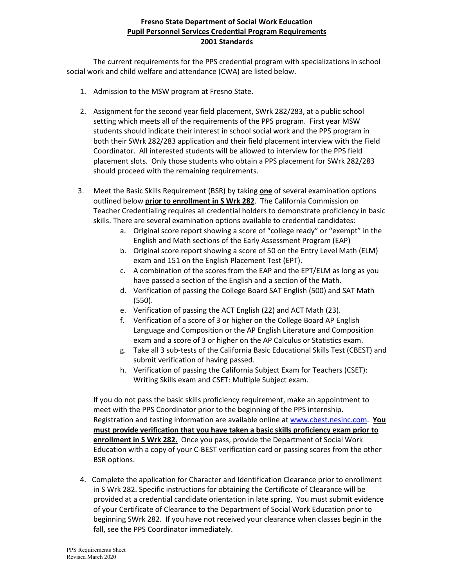## **Fresno State Department of Social Work Education Pupil Personnel Services Credential Program Requirements 2001 Standards**

The current requirements for the PPS credential program with specializations in school social work and child welfare and attendance (CWA) are listed below.

- 1. Admission to the MSW program at Fresno State.
- 2. Assignment for the second year field placement, SWrk 282/283, at a public school setting which meets all of the requirements of the PPS program. First year MSW students should indicate their interest in school social work and the PPS program in both their SWrk 282/283 application and their field placement interview with the Field Coordinator. All interested students will be allowed to interview for the PPS field placement slots. Only those students who obtain a PPS placement for SWrk 282/283 should proceed with the remaining requirements.
- 3. Meet the Basic Skills Requirement (BSR) by taking **one** of several examination options outlined below **prior to enrollment in S Wrk 282**. The California Commission on Teacher Credentialing requires all credential holders to demonstrate proficiency in basic skills. There are several examination options available to credential candidates:
	- a. Original score report showing a score of "college ready" or "exempt" in the English and Math sections of the Early Assessment Program (EAP)
	- b. Original score report showing a score of 50 on the Entry Level Math (ELM) exam and 151 on the English Placement Test (EPT).
	- c. A combination of the scores from the EAP and the EPT/ELM as long as you have passed a section of the English and a section of the Math.
	- d. Verification of passing the College Board SAT English (500) and SAT Math (550).
	- e. Verification of passing the ACT English (22) and ACT Math (23).
	- f. Verification of a score of 3 or higher on the College Board AP English Language and Composition or the AP English Literature and Composition exam and a score of 3 or higher on the AP Calculus or Statistics exam.
	- g. Take all 3 sub-tests of the California Basic Educational Skills Test (CBEST) and submit verification of having passed.
	- h. Verification of passing the California Subject Exam for Teachers (CSET): Writing Skills exam and CSET: Multiple Subject exam.

If you do not pass the basic skills proficiency requirement, make an appointment to meet with the PPS Coordinator prior to the beginning of the PPS internship. Registration and testing information are available online a[t www.cbest.nesinc.com.](http://www.cbest.nesinc.com/) **You must provide verification that you have taken a basic skills proficiency exam prior to enrollment in S Wrk 282.** Once you pass, provide the Department of Social Work Education with a copy of your C-BEST verification card or passing scores from the other BSR options.

4. Complete the application for Character and Identification Clearance prior to enrollment in S Wrk 282. Specific instructions for obtaining the Certificate of Clearance will be provided at a credential candidate orientation in late spring. You must submit evidence of your Certificate of Clearance to the Department of Social Work Education prior to beginning SWrk 282. If you have not received your clearance when classes begin in the fall, see the PPS Coordinator immediately.